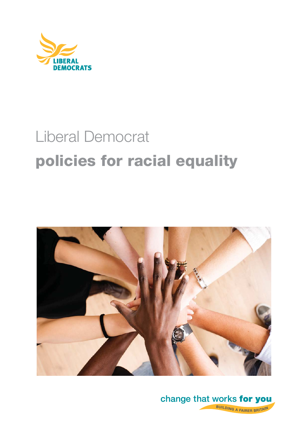

# Liberal Democrat **policies for racial equality**



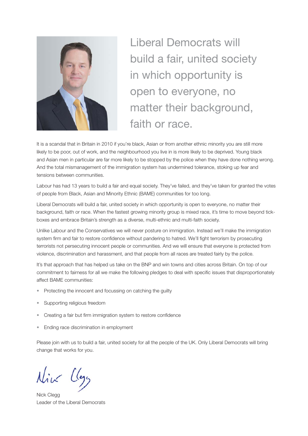

Liberal Democrats will build a fair, united society in which opportunity is open to everyone, no matter their background, faith or race.

It is a scandal that in Britain in 2010 if you're black, Asian or from another ethnic minority you are still more likely to be poor, out of work, and the neighbourhood you live in is more likely to be deprived. Young black and Asian men in particular are far more likely to be stopped by the police when they have done nothing wrong. And the total mismanagement of the immigration system has undermined tolerance, stoking up fear and tensions between communities.

Labour has had 13 years to build a fair and equal society. They've failed, and they've taken for granted the votes of people from Black, Asian and Minority Ethnic (BAME) communities for too long.

Liberal Democrats will build a fair, united society in which opportunity is open to everyone, no matter their background, faith or race. When the fastest growing minority group is mixed race, it's time to move beyond tickboxes and embrace Britain's strength as a diverse, multi-ethnic and multi-faith society.

Unlike Labour and the Conservatives we will never posture on immigration. Instead we'll make the immigration system firm and fair to restore confidence without pandering to hatred. We'll fight terrorism by prosecuting terrorists not persecuting innocent people or communities. And we will ensure that everyone is protected from violence, discrimination and harassment, and that people from all races are treated fairly by the police.

It's that approach that has helped us take on the BNP and win towns and cities across Britain. On top of our commitment to fairness for all we make the following pledges to deal with specific issues that disproportionately affect BAME communities:

- Protecting the innocent and focussing on catching the guilty
- Supporting religious freedom
- Creating a fair but firm immigration system to restore confidence
- Ending race discrimination in employment

Please join with us to build a fair, united society for all the people of the UK. Only Liberal Democrats will bring change that works for you.

Nick Llegg

Nick Clegg Leader of the Liberal Democrats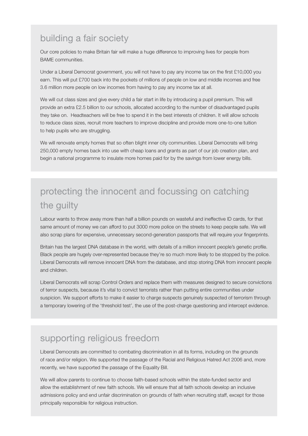#### building a fair society

Our core policies to make Britain fair will make a huge difference to improving lives for people from BAME communities.

Under a Liberal Democrat government, you will not have to pay any income tax on the first £10,000 you earn. This will put £700 back into the pockets of millions of people on low and middle incomes and free 3.6 million more people on low incomes from having to pay any income tax at all.

We will cut class sizes and give every child a fair start in life by introducing a pupil premium. This will provide an extra £2.5 billion to our schools, allocated according to the number of disadvantaged pupils they take on. Headteachers will be free to spend it in the best interests of children. It will allow schools to reduce class sizes, recruit more teachers to improve discipline and provide more one-to-one tuition to help pupils who are struggling.

We will renovate empty homes that so often blight inner city communities. Liberal Democrats will bring 250,000 empty homes back into use with cheap loans and grants as part of our job creation plan, and begin a national programme to insulate more homes paid for by the savings from lower energy bills.

### protecting the innocent and focussing on catching the guilty

Labour wants to throw away more than half a billion pounds on wasteful and ineffective ID cards, for that same amount of money we can afford to put 3000 more police on the streets to keep people safe. We will also scrap plans for expensive, unnecessary second-generation passports that will require your fingerprints.

Britain has the largest DNA database in the world, with details of a million innocent people's genetic profile. Black people are hugely over-represented because they're so much more likely to be stopped by the police. Liberal Democrats will remove innocent DNA from the database, and stop storing DNA from innocent people and children.

Liberal Democrats will scrap Control Orders and replace them with measures designed to secure convictions of terror suspects, because it's vital to convict terrorists rather than putting entire communities under suspicion. We support efforts to make it easier to charge suspects genuinely suspected of terrorism through a temporary lowering of the 'threshold test', the use of the post-charge questioning and intercept evidence.

#### supporting religious freedom

Liberal Democrats are committed to combating discrimination in all its forms, including on the grounds of race and/or religion. We supported the passage of the Racial and Religious Hatred Act 2006 and, more recently, we have supported the passage of the Equality Bill.

We will allow parents to continue to choose faith-based schools within the state-funded sector and allow the establishment of new faith schools. We will ensure that all faith schools develop an inclusive admissions policy and end unfair discrimination on grounds of faith when recruiting staff, except for those principally responsible for religious instruction.